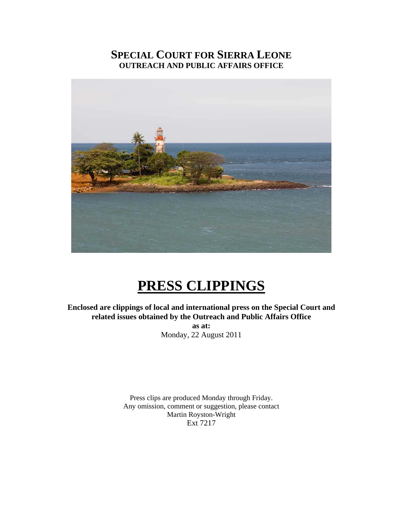## **SPECIAL COURT FOR SIERRA LEONE OUTREACH AND PUBLIC AFFAIRS OFFICE**



# **PRESS CLIPPINGS**

**Enclosed are clippings of local and international press on the Special Court and related issues obtained by the Outreach and Public Affairs Office as at:** 

Monday, 22 August 2011

Press clips are produced Monday through Friday. Any omission, comment or suggestion, please contact Martin Royston-Wright Ext 7217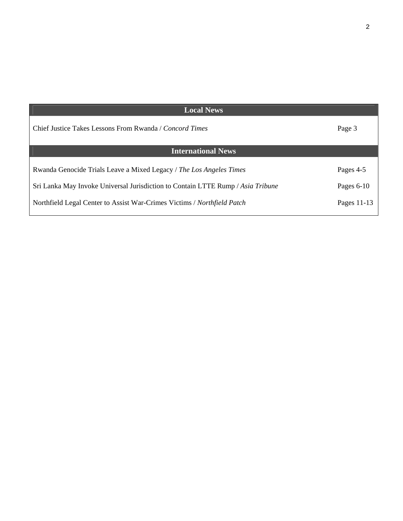| <b>Local News</b>                                                               |              |
|---------------------------------------------------------------------------------|--------------|
| Chief Justice Takes Lessons From Rwanda / Concord Times                         | Page 3       |
| <b>International News</b>                                                       |              |
| Rwanda Genocide Trials Leave a Mixed Legacy / The Los Angeles Times             | Pages 4-5    |
| Sri Lanka May Invoke Universal Jurisdiction to Contain LTTE Rump / Asia Tribune | Pages $6-10$ |
| Northfield Legal Center to Assist War-Crimes Victims / Northfield Patch         | Pages 11-13  |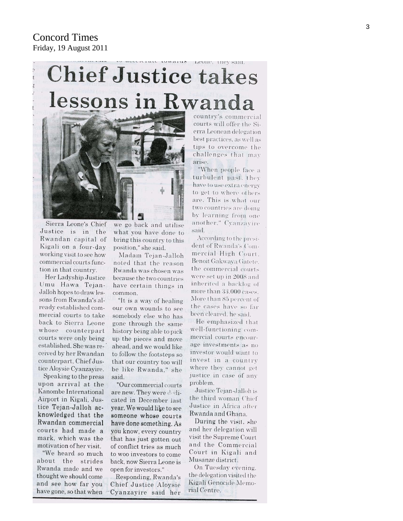Concord Times Friday, 19 August 2011

# are towarus Leone, they said. **Chief Justice takes** lessons in Rwanda



Sierra Leone's Chief Justice is in the Rwandan capital of Kigali on a four-day working visit to see how commercial courts function in that country.

Her Ladyship Justice Umu Hawa Tejan-Jalloh hopes to draw lessons from Rwanda's already established commercial courts to take back to Sierra Leone whose counterpart courts were only being established. She was received by her Rwandan counterpart, Chief Justice Aloysie Cyanzayire.

Speaking to the press upon arrival at the Kanombe International Airport in Kigali, Justice Tejan-Jalloh acknowledged that the Rwandan commercial courts had made a mark, which was the motivation of her visit.

"We heard so much about the strides Rwanda made and we thought we should come and see how far you have gone, so that when

we go back and utilise what you have done to bring this country to this position," she said.

Madam Tejan-Jalloh noted that the reason Rwanda was chosen was because the two countries have certain things in common.

"It is a way of healing" our own wounds to see somebody else who has gone through the same history being able to pick up the pieces and move ahead, and we would like to follow the footsteps so that our country too will be like Rwanda," she said.

"Our commercial courts are new. They were dodicated in December last year. We would like to see someone whose courts have done something. As you know, every country that has just gotten out of conflict tries as much to woo investors to come back, now Sierra Leone is open for investors."

Responding, Rwanda's Chief Justice Aloysie Cyanzayire said her

country's commercial courts will offer the Sierra Leonean delegation best practices, as well as tips to overcome the challenges that may arise.

"When people face a turbulent past. they have to use extra energy to get to where others are. This is what our two countries are doing by learning from one another." Cvanzavire said.

According to the president of Rwanda's Commercial High Court. Benoit Gakwaya Gatete. the commercial courts. were set up in 2008 and inherited a backlog of more than 33,000 cases. More than 85 percent of the cases have so far been cleared, he said.

He emphasized that well-functioning commercial courts encourage investments as no investor would want to invest in a country where they cannot get justice in case of any problem.

Justice Tejan-Jalloh is the third woman Chief Justice in Africa after Rwanda and Ghana.

During the visit, she and her delegation will visit the Supreme Court and the Commercial Court in Kigali and Musanze district.

On Tuesday evening. the delegation visited the Kigali Genocide Memorial Centre.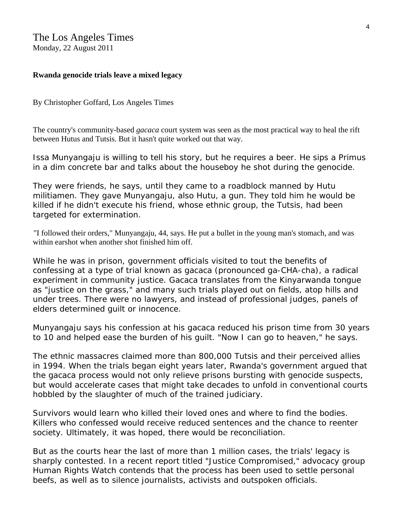#### The Los Angeles Times

Monday, 22 August 2011

#### **Rwanda genocide trials leave a mixed legacy**

By Christopher Goffard, Los Angeles Times

The country's community-based *gacaca* court system was seen as the most practical way to heal the rift between Hutus and Tutsis. But it hasn't quite worked out that way.

Issa Munyangaju is willing to tell his story, but he requires a beer. He sips a Primus in a dim concrete bar and talks about the houseboy he shot during the genocide.

They were friends, he says, until they came to a roadblock manned by Hutu militiamen. They gave Munyangaju, also Hutu, a gun. They told him he would be killed if he didn't execute his friend, whose ethnic group, the Tutsis, had been targeted for extermination.

"I followed their orders," Munyangaju, 44, says. He put a bullet in the young man's stomach, and was within earshot when another shot finished him off.

While he was in prison, government officials visited to tout the benefits of confessing at a type of trial known as *gacaca* (pronounced ga-CHA-cha), a radical experiment in community justice. *Gacaca* translates from the Kinyarwanda tongue as "justice on the grass," and many such trials played out on fields, atop hills and under trees. There were no lawyers, and instead of professional judges, panels of elders determined guilt or innocence.

Munyangaju says his confession at his *gacaca* reduced his prison time from 30 years to 10 and helped ease the burden of his guilt. "Now I can go to heaven," he says.

The ethnic massacres claimed more than 800,000 Tutsis and their perceived allies in 1994. When the trials began eight years later, Rwanda's government argued that the *gacaca* process would not only relieve prisons bursting with genocide suspects, but would accelerate cases that might take decades to unfold in conventional courts hobbled by the slaughter of much of the trained judiciary.

Survivors would learn who killed their loved ones and where to find the bodies. Killers who confessed would receive reduced sentences and the chance to reenter society. Ultimately, it was hoped, there would be reconciliation.

But as the courts hear the last of more than 1 million cases, the trials' legacy is sharply contested. In a recent report titled "Justice Compromised," advocacy group Human Rights Watch contends that the process has been used to settle personal beefs, as well as to silence journalists, activists and outspoken officials.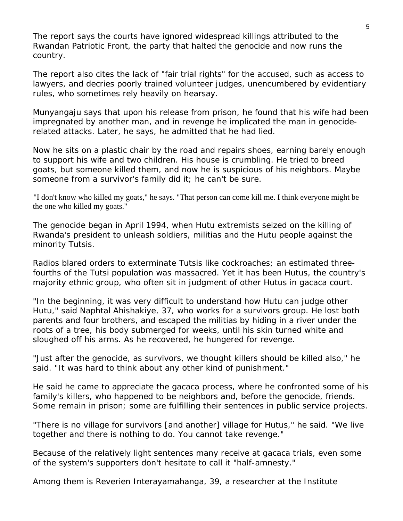The report says the courts have ignored widespread killings attributed to the Rwandan Patriotic Front, the party that halted the genocide and now runs the country.

The report also cites the lack of "fair trial rights" for the accused, such as access to lawyers, and decries poorly trained volunteer judges, unencumbered by evidentiary rules, who sometimes rely heavily on hearsay.

Munyangaju says that upon his release from prison, he found that his wife had been impregnated by another man, and in revenge he implicated the man in genociderelated attacks. Later, he says, he admitted that he had lied.

Now he sits on a plastic chair by the road and repairs shoes, earning barely enough to support his wife and two children. His house is crumbling. He tried to breed goats, but someone killed them, and now he is suspicious of his neighbors. Maybe someone from a survivor's family did it; he can't be sure.

"I don't know who killed my goats," he says. "That person can come kill me. I think everyone might be the one who killed my goats."

The genocide began in April 1994, when Hutu extremists seized on the killing of Rwanda's president to unleash soldiers, militias and the Hutu people against the minority Tutsis.

Radios blared orders to exterminate Tutsis like cockroaches; an estimated threefourths of the Tutsi population was massacred. Yet it has been Hutus, the country's majority ethnic group, who often sit in judgment of other Hutus in *gacaca* court.

"In the beginning, it was very difficult to understand how Hutu can judge other Hutu," said Naphtal Ahishakiye, 37, who works for a survivors group. He lost both parents and four brothers, and escaped the militias by hiding in a river under the roots of a tree, his body submerged for weeks, until his skin turned white and sloughed off his arms. As he recovered, he hungered for revenge.

"Just after the genocide, as survivors, we thought killers should be killed also," he said. "It was hard to think about any other kind of punishment."

He said he came to appreciate the *gacaca* process, where he confronted some of his family's killers, who happened to be neighbors and, before the genocide, friends. Some remain in prison; some are fulfilling their sentences in public service projects.

"There is no village for survivors [and another] village for Hutus," he said. "We live together and there is nothing to do. You cannot take revenge."

Because of the relatively light sentences many receive at *gacaca* trials, even some of the system's supporters don't hesitate to call it "half-amnesty."

Among them is Reverien Interayamahanga, 39, a researcher at the Institute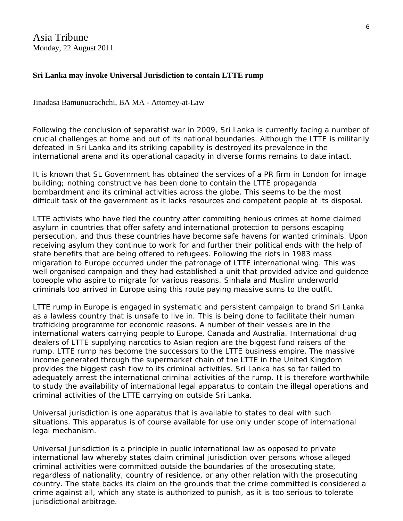Asia Tribune Monday, 22 August 2011

#### **Sri Lanka may invoke Universal Jurisdiction to contain LTTE rump**

Jinadasa Bamunuarachchi, BA MA - Attorney-at-Law

Following the conclusion of separatist war in 2009, Sri Lanka is currently facing a number of crucial challenges at home and out of its national boundaries. Although the LTTE is militarily defeated in Sri Lanka and its striking capability is destroyed its prevalence in the international arena and its operational capacity in diverse forms remains to date intact.

It is known that SL Government has obtained the services of a PR firm in London for image building; nothing constructive has been done to contain the LTTE propaganda bombardment and its criminal activities across the globe. This seems to be the most difficult task of the government as it lacks resources and competent people at its disposal.

LTTE activists who have fled the country after commiting henious crimes at home claimed asylum in countries that offer safety and international protection to persons escaping persecution, and thus these countries have become safe havens for wanted criminals. Upon receiving asylum they continue to work for and further their political ends with the help of state benefits that are being offered to refugees. Following the riots in 1983 mass migaration to Europe occurred under the patronage of LTTE international wing. This was well organised campaign and they had established a unit that provided advice and guidence topeople who aspire to migrate for various reasons. Sinhala and Muslim underworld criminals too arrived in Europe using this route paying massive sums to the outfit.

LTTE rump in Europe is engaged in systematic and persistent campaign to brand Sri Lanka as a lawless country that is unsafe to live in. This is being done to facilitate their human trafficking programme for economic reasons. A number of their vessels are in the international waters carrying people to Europe, Canada and Australia. International drug dealers of LTTE supplying narcotics to Asian region are the biggest fund raisers of the rump. LTTE rump has become the successors to the LTTE business empire. The massive income generated through the supermarket chain of the LTTE in the United Kingdom provides the biggest cash flow to its criminal activities. Sri Lanka has so far failed to adequately arrest the international criminal activities of the rump. It is therefore worthwhile to study the availability of international legal apparatus to contain the illegal operations and criminal activities of the LTTE carrying on outside Sri Lanka.

Universal jurisdiction is one apparatus that is available to states to deal with such situations. This apparatus is of course available for use only under scope of international legal mechanism.

Universal Jurisdiction is a principle in public international law as opposed to private international law whereby states claim criminal jurisdiction over persons whose alleged criminal activities were committed outside the boundaries of the prosecuting state, regardless of nationality, country of residence, or any other relation with the prosecuting country. The state backs its claim on the grounds that the crime committed is considered a crime against all, which any state is authorized to punish, as it is too serious to tolerate jurisdictional arbitrage.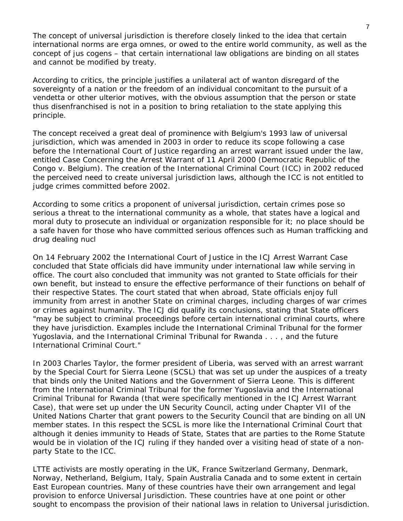The concept of universal jurisdiction is therefore closely linked to the idea that certain international norms are erga omnes, or owed to the entire world community, as well as the concept of *jus cogens* – that certain international law obligations are binding on all states and cannot be modified by treaty.

According to critics, the principle justifies a unilateral act of wanton disregard of the sovereignty of a nation or the freedom of an individual concomitant to the pursuit of a vendetta or other ulterior motives, with the obvious assumption that the person or state thus disenfranchised is not in a position to bring retaliation to the state applying this principle.

The concept received a great deal of prominence with Belgium's 1993 law of universal jurisdiction, which was amended in 2003 in order to reduce its scope following a case before the International Court of Justice regarding an arrest warrant issued under the law, entitled Case Concerning the Arrest Warrant of 11 April 2000 (Democratic Republic of the Congo v. Belgium). The creation of the International Criminal Court (ICC) in 2002 reduced the perceived need to create universal jurisdiction laws, although the ICC is not entitled to judge crimes committed before 2002.

According to some critics a proponent of universal jurisdiction, certain crimes pose so serious a threat to the international community as a whole, that states have a logical and moral duty to prosecute an individual or organization responsible for it; no place should be a safe haven for those who have committed serious offences such as Human trafficking and drug dealing nucl

On 14 February 2002 the International Court of Justice in the ICJ Arrest Warrant Case concluded that State officials did have immunity under international law while serving in office. The court also concluded that immunity was not granted to State officials for their own benefit, but instead to ensure the effective performance of their functions on behalf of their respective States. The court stated that when abroad, State officials enjoy full immunity from arrest in another State on criminal charges, including charges of war crimes or crimes against humanity. The ICJ did qualify its conclusions, stating that State officers "may be subject to criminal proceedings before certain international criminal courts, where they have jurisdiction. Examples include the International Criminal Tribunal for the former Yugoslavia, and the International Criminal Tribunal for Rwanda . . . , and the future International Criminal Court."

In 2003 Charles Taylor, the former president of Liberia, was served with an arrest warrant by the Special Court for Sierra Leone (SCSL) that was set up under the auspices of a treaty that binds only the United Nations and the Government of Sierra Leone. This is different from the International Criminal Tribunal for the former Yugoslavia and the International Criminal Tribunal for Rwanda (that were specifically mentioned in the *ICJ Arrest Warrant Case*), that were set up under the UN Security Council, acting under Chapter VII of the United Nations Charter that grant powers to the Security Council that are binding on all UN member states. In this respect the SCSL is more like the International Criminal Court that although it denies immunity to Heads of State, States that are parties to the Rome Statute would be in violation of the ICJ ruling if they handed over a visiting head of state of a nonparty State to the ICC.

LTTE activists are mostly operating in the UK, France Switzerland Germany, Denmark, Norway, Netherland, Belgium, Italy, Spain Australia Canada and to some extent in certain East European countries. Many of these countries have their own arrangement and legal provision to enforce Universal Jurisdiction. These countries have at one point or other sought to encompass the provision of their national laws in relation to Universal jurisdiction.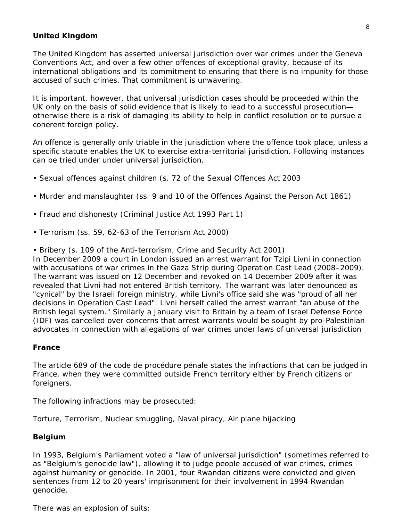#### **United Kingdom**

The United Kingdom has asserted universal jurisdiction over war crimes under the Geneva Conventions Act, and over a few other offences of exceptional gravity, because of its international obligations and its commitment to ensuring that there is no impunity for those accused of such crimes. That commitment is unwavering.

It is important, however, that universal jurisdiction cases should be proceeded within the UK only on the basis of solid evidence that is likely to lead to a successful prosecution otherwise there is a risk of damaging its ability to help in conflict resolution or to pursue a coherent foreign policy.

An offence is generally only triable in the jurisdiction where the offence took place, unless a specific statute enables the UK to exercise extra-territorial jurisdiction. Following instances can be tried under under universal jurisdiction.

- Sexual offences against children (s. 72 of the Sexual Offences Act 2003
- Murder and manslaughter (ss. 9 and 10 of the Offences Against the Person Act 1861)
- Fraud and dishonesty (Criminal Justice Act 1993 Part 1)
- Terrorism (ss. 59, 62-63 of the Terrorism Act 2000)
- Bribery (s. 109 of the Anti-terrorism, Crime and Security Act 2001)

In December 2009 a court in London issued an arrest warrant for Tzipi Livni in connection with accusations of war crimes in the Gaza Strip during Operation Cast Lead (2008–2009). The warrant was issued on 12 December and revoked on 14 December 2009 after it was revealed that Livni had not entered British territory. The warrant was later denounced as "cynical" by the Israeli foreign ministry, while Livni's office said she was "proud of all her decisions in Operation Cast Lead". Livni herself called the arrest warrant "an abuse of the British legal system." Similarly a January visit to Britain by a team of Israel Defense Force (IDF) was cancelled over concerns that arrest warrants would be sought by pro-Palestinian advocates in connection with allegations of war crimes under laws of universal jurisdiction

#### **France**

The article 689 of the *code de procédure pénale* states the infractions that can be judged in France, when they were committed outside French territory either by French citizens or foreigners.

The following infractions may be prosecuted:

Torture, Terrorism, Nuclear smuggling, Naval piracy, Air plane hijacking

#### **Belgium**

In 1993, Belgium's Parliament voted a "law of universal jurisdiction" (sometimes referred to as "Belgium's genocide law"), allowing it to judge people accused of war crimes, crimes against humanity or genocide. In 2001, four Rwandan citizens were convicted and given sentences from 12 to 20 years' imprisonment for their involvement in 1994 Rwandan genocide.

There was an explosion of suits: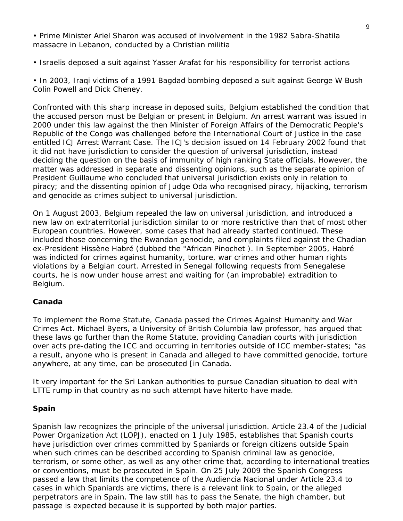• Prime Minister Ariel Sharon was accused of involvement in the 1982 Sabra-Shatila massacre in Lebanon, conducted by a Christian militia

• Israelis deposed a suit against Yasser Arafat for his responsibility for terrorist actions

• In 2003, Iraqi victims of a 1991 Bagdad bombing deposed a suit against George W Bush Colin Powell and Dick Cheney.

Confronted with this sharp increase in deposed suits, Belgium established the condition that the accused person must be Belgian or present in Belgium. An arrest warrant was issued in 2000 under this law against the then Minister of Foreign Affairs of the Democratic People's Republic of the Congo was challenged before the International Court of Justice in the case entitled *ICJ Arrest Warrant Case.* The ICJ's decision issued on 14 February 2002 found that it did not have jurisdiction to consider the question of universal jurisdiction, instead deciding the question on the basis of immunity of high ranking State officials. However, the matter was addressed in separate and dissenting opinions, such as the separate opinion of President Guillaume who concluded that universal jurisdiction exists only in relation to piracy; and the dissenting opinion of Judge Oda who recognised piracy, hijacking, terrorism and genocide as crimes subject to universal jurisdiction.

On 1 August 2003, Belgium repealed the law on universal jurisdiction, and introduced a new law on extraterritorial jurisdiction similar to or more restrictive than that of most other European countries. However, some cases that had already started continued. These included those concerning the Rwandan genocide, and complaints filed against the Chadian ex-President Hissène Habré (dubbed the "African Pinochet ). In September 2005, Habré was indicted for crimes against humanity, torture, war crimes and other human rights violations by a Belgian court. Arrested in Senegal following requests from Senegalese courts, he is now under house arrest and waiting for (an improbable) extradition to Belgium.

#### **Canada**

To implement the Rome Statute, Canada passed the Crimes Against Humanity and War Crimes Act. Michael Byers, a University of British Columbia law professor, has argued that these laws go further than the Rome Statute, providing Canadian courts with jurisdiction over acts pre-dating the ICC and occurring in territories outside of ICC member-states; "as a result, anyone who is present in Canada and alleged to have committed genocide, torture anywhere, at any time, can be prosecuted [in Canada.

It very important for the Sri Lankan authorities to pursue Canadian situation to deal with LTTE rump in that country as no such attempt have hiterto have made.

#### **Spain**

Spanish law recognizes the principle of the universal jurisdiction. Article 23.4 of the Judicial Power Organization Act (LOPJ), enacted on 1 July 1985, establishes that Spanish courts have jurisdiction over crimes committed by Spaniards or foreign citizens outside Spain when such crimes can be described according to Spanish criminal law as genocide, terrorism, or some other, as well as any other crime that, according to international treaties or conventions, must be prosecuted in Spain. On 25 July 2009 the Spanish Congress passed a law that limits the competence of the Audiencia Nacional under Article 23.4 to cases in which Spaniards are victims, there is a relevant link to Spain, or the alleged perpetrators are in Spain. The law still has to pass the Senate, the high chamber, but passage is expected because it is supported by both major parties.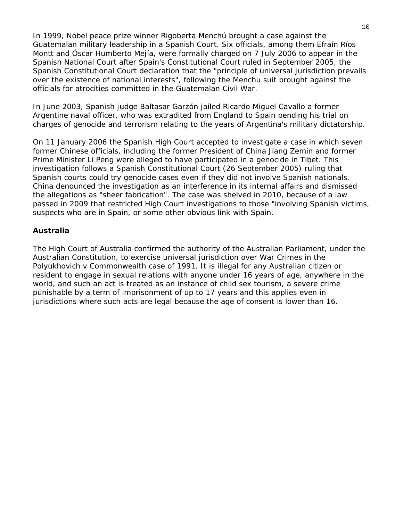In 1999, Nobel peace prize winner Rigoberta Menchú brought a case against the Guatemalan military leadership in a Spanish Court. Six officials, among them Efraín Ríos Montt and Óscar Humberto Mejía, were formally charged on 7 July 2006 to appear in the Spanish National Court after Spain's Constitutional Court ruled in September 2005, the Spanish Constitutional Court declaration that the "principle of universal jurisdiction prevails over the existence of national interests", following the Menchu suit brought against the officials for atrocities committed in the Guatemalan Civil War.

In June 2003, Spanish judge Baltasar Garzón jailed Ricardo Miguel Cavallo a former Argentine naval officer, who was extradited from England to Spain pending his trial on charges of genocide and terrorism relating to the years of Argentina's military dictatorship.

On 11 January 2006 the Spanish High Court accepted to investigate a case in which seven former Chinese officials, including the former President of China Jiang Zemin and former Prime Minister Li Peng were alleged to have participated in a genocide in Tibet. This investigation follows a Spanish Constitutional Court (26 September 2005) ruling that Spanish courts could try genocide cases even if they did not involve Spanish nationals. China denounced the investigation as an interference in its internal affairs and dismissed the allegations as "sheer fabrication". The case was shelved in 2010, because of a law passed in 2009 that restricted High Court investigations to those "involving Spanish victims, suspects who are in Spain, or some other obvious link with Spain.

#### **Australia**

The High Court of Australia confirmed the authority of the Australian Parliament, under the Australian Constitution, to exercise universal jurisdiction over War Crimes in the Polyukhovich v Commonwealth case of 1991. It is illegal for any Australian citizen or resident to engage in sexual relations with anyone under 16 years of age, anywhere in the world, and such an act is treated as an instance of child sex tourism, a severe crime punishable by a term of imprisonment of up to 17 years and this applies even in jurisdictions where such acts are legal because the age of consent is lower than 16.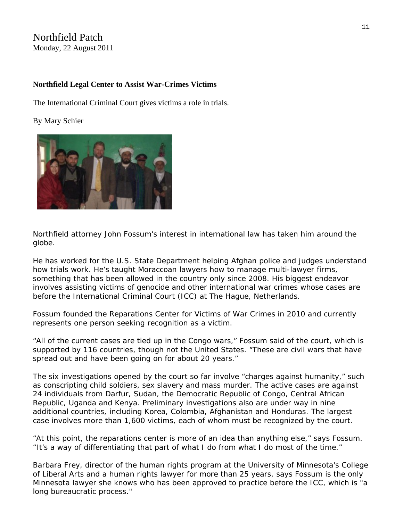### Northfield Patch Monday, 22 August 2011

#### **Northfield Legal Center to Assist War-Crimes Victims**

The International Criminal Court gives victims a role in trials.

By [Mary Schier](http://northfield.patch.com/users/mary-schier) 



Northfield attorney John Fossum's interest in international law has taken him around the globe.

He has worked for the U.S. State Department helping Afghan police and judges understand how trials work. He's taught Moraccoan lawyers how to manage multi-lawyer firms, something that has been allowed in the country only since 2008. His biggest endeavor involves assisting victims of genocide and other international war crimes whose cases are before the [International Criminal Court \(ICC\)](http://www.icc-cpi.int/Menus/ICC) at The Hague, Netherlands.

Fossum founded the [Reparations Center for Victims of War Crimes](http://www.warcrimesreparations.info/) in 2010 and currently represents one person seeking recognition as a victim.

"All of the current cases are tied up in the [Congo wars,](http://en.wikipedia.org/wiki/Second_Congo_War)" Fossum said of the court, which is supported by 116 countries, though not the United States. "These are civil wars that have spread out and have been going on for about 20 years."

The six investigations opened by the court so far involve "charges against humanity," such as conscripting child soldiers, sex slavery and mass murder. The active cases are against 24 individuals from Darfur, Sudan, the Democratic Republic of Congo, Central African Republic, Uganda and Kenya. Preliminary investigations also are under way in nine additional countries, including Korea, Colombia, Afghanistan and Honduras. The largest case involves more than 1,600 victims, each of whom must be recognized by the court.

"At this point, the reparations center is more of an idea than anything else," says Fossum. "It's a way of differentiating that part of what I do from what I do most of the time."

[Barbara Frey,](http://igs.cla.umn.edu/faculty/profile.php?UID=freyx001) director of the human rights program at the University of Minnesota's College of Liberal Arts and a human rights lawyer for more than 25 years, says Fossum is the only Minnesota lawyer she knows who has been approved to practice before the ICC, which is "a long bureaucratic process."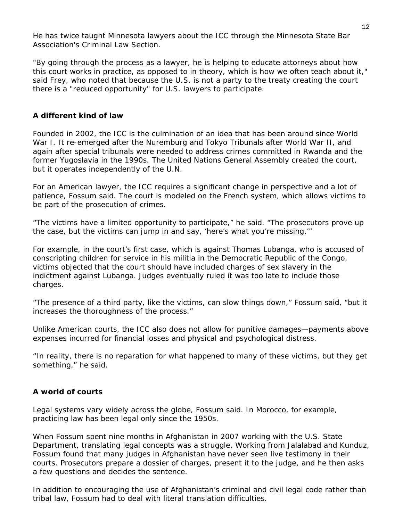He has twice taught Minnesota lawyers about the ICC through the [Minnesota State Bar](http://www.mnbar.org/sections/criminal-law/)  [Association's Criminal Law Section.](http://www.mnbar.org/sections/criminal-law/) 

"By going through the process as a lawyer, he is helping to educate attorneys about how this court works in practice, as opposed to in theory, which is how we often teach about it," said Frey, who noted that because the U.S. is not a party to the treaty creating the court there is a "reduced opportunity" for U.S. lawyers to participate.

#### **A different kind of law**

Founded in 2002, the ICC is the culmination of an idea that has been around since World War I. It re-emerged after the Nuremburg and Tokyo Tribunals after World War II, and again after special tribunals were needed to address crimes committed in Rwanda and the former Yugoslavia in the 1990s. The United Nations General Assembly created the court, but it operates independently of the U.N.

For an American lawyer, the ICC requires a significant change in perspective and a lot of patience, Fossum said. The court is modeled on the French system, which allows victims to be part of the prosecution of crimes.

"The victims have a limited opportunity to participate," he said. "The prosecutors prove up the case, but the victims can jump in and say, 'here's what you're missing.'"

For example, in the court's first case, which is against [Thomas Lubanga](http://www.lubangatrial.org/), who is accused of conscripting children for service in his militia in the Democratic Republic of the Congo, victims objected that the court should have included charges of sex slavery in the indictment against Lubanga. Judges eventually ruled it was too late to include those charges.

"The presence of a third party, like the victims, can slow things down," Fossum said, "but it increases the thoroughness of the process."

Unlike American courts, the ICC also does not allow for punitive damages—payments above expenses incurred for financial losses and physical and psychological distress.

"In reality, there is no reparation for what happened to many of these victims, but they get something," he said.

#### **A world of courts**

Legal systems vary widely across the globe, Fossum said. In Morocco, for example, practicing law has been legal only since the 1950s.

When Fossum spent nine months in Afghanistan in 2007 working with the U.S. State Department, translating legal concepts was a struggle. Working from Jalalabad and Kunduz, Fossum found that many judges in Afghanistan have never seen live testimony in their courts. Prosecutors prepare a dossier of charges, present it to the judge, and he then asks a few questions and decides the sentence.

In addition to encouraging the use of Afghanistan's criminal and civil legal code rather than tribal law, Fossum had to deal with literal translation difficulties.